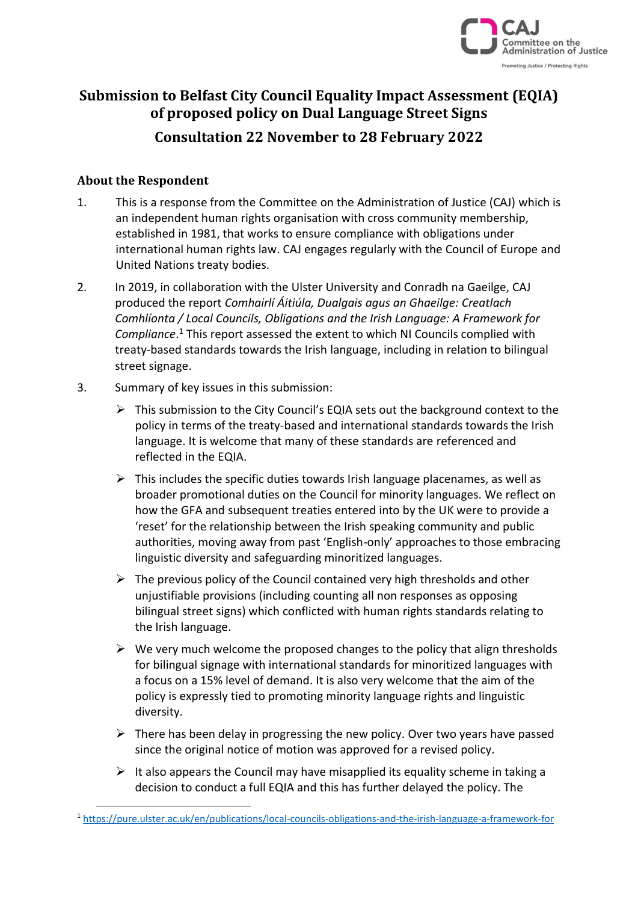

# **Submission to Belfast City Council Equality Impact Assessment (EQIA) of proposed policy on Dual Language Street Signs Consultation 22 November to 28 February 2022**

### **About the Respondent**

- 1. This is a response from the Committee on the Administration of Justice (CAJ) which is an independent human rights organisation with cross community membership, established in 1981, that works to ensure compliance with obligations under international human rights law. CAJ engages regularly with the Council of Europe and United Nations treaty bodies.
- 2. In 2019, in collaboration with the Ulster University and Conradh na Gaeilge, CAJ produced the report *Comhairlí Áitiúla, Dualgais agus an Ghaeilge: Creatlach Comhlíonta / Local Councils, Obligations and the Irish Language: A Framework for Compliance*. <sup>1</sup> This report assessed the extent to which NI Councils complied with treaty-based standards towards the Irish language, including in relation to bilingual street signage.
- 3. Summary of key issues in this submission:
	- $\triangleright$  This submission to the City Council's EQIA sets out the background context to the policy in terms of the treaty-based and international standards towards the Irish language. It is welcome that many of these standards are referenced and reflected in the EQIA.
	- $\triangleright$  This includes the specific duties towards Irish language placenames, as well as broader promotional duties on the Council for minority languages. We reflect on how the GFA and subsequent treaties entered into by the UK were to provide a 'reset' for the relationship between the Irish speaking community and public authorities, moving away from past 'English-only' approaches to those embracing linguistic diversity and safeguarding minoritized languages.
	- $\triangleright$  The previous policy of the Council contained very high thresholds and other unjustifiable provisions (including counting all non responses as opposing bilingual street signs) which conflicted with human rights standards relating to the Irish language.
	- $\triangleright$  We very much welcome the proposed changes to the policy that align thresholds for bilingual signage with international standards for minoritized languages with a focus on a 15% level of demand. It is also very welcome that the aim of the policy is expressly tied to promoting minority language rights and linguistic diversity.
	- $\triangleright$  There has been delay in progressing the new policy. Over two years have passed since the original notice of motion was approved for a revised policy.
	- $\triangleright$  It also appears the Council may have misapplied its equality scheme in taking a decision to conduct a full EQIA and this has further delayed the policy. The

<sup>1</sup> <https://pure.ulster.ac.uk/en/publications/local-councils-obligations-and-the-irish-language-a-framework-for>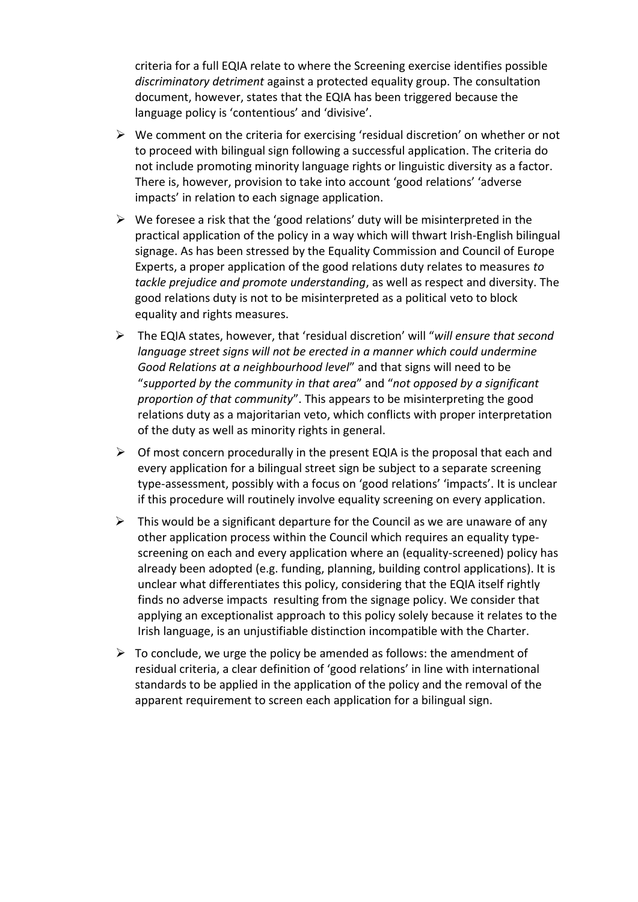criteria for a full EQIA relate to where the Screening exercise identifies possible *discriminatory detriment* against a protected equality group. The consultation document, however, states that the EQIA has been triggered because the language policy is 'contentious' and 'divisive'.

- ➢ We comment on the criteria for exercising 'residual discretion' on whether or not to proceed with bilingual sign following a successful application. The criteria do not include promoting minority language rights or linguistic diversity as a factor. There is, however, provision to take into account 'good relations' 'adverse impacts' in relation to each signage application.
- $\triangleright$  We foresee a risk that the 'good relations' duty will be misinterpreted in the practical application of the policy in a way which will thwart Irish-English bilingual signage. As has been stressed by the Equality Commission and Council of Europe Experts, a proper application of the good relations duty relates to measures *to tackle prejudice and promote understanding*, as well as respect and diversity. The good relations duty is not to be misinterpreted as a political veto to block equality and rights measures.
- ➢ The EQIA states, however, that 'residual discretion' will "*will ensure that second language street signs will not be erected in a manner which could undermine Good Relations at a neighbourhood level*" and that signs will need to be "*supported by the community in that area*" and "*not opposed by a significant proportion of that community*". This appears to be misinterpreting the good relations duty as a majoritarian veto, which conflicts with proper interpretation of the duty as well as minority rights in general.
- $\triangleright$  Of most concern procedurally in the present EQIA is the proposal that each and every application for a bilingual street sign be subject to a separate screening type-assessment, possibly with a focus on 'good relations' 'impacts'. It is unclear if this procedure will routinely involve equality screening on every application.
- $\triangleright$  This would be a significant departure for the Council as we are unaware of any other application process within the Council which requires an equality typescreening on each and every application where an (equality-screened) policy has already been adopted (e.g. funding, planning, building control applications). It is unclear what differentiates this policy, considering that the EQIA itself rightly finds no adverse impacts resulting from the signage policy. We consider that applying an exceptionalist approach to this policy solely because it relates to the Irish language, is an unjustifiable distinction incompatible with the Charter.
- $\triangleright$  To conclude, we urge the policy be amended as follows: the amendment of residual criteria, a clear definition of 'good relations' in line with international standards to be applied in the application of the policy and the removal of the apparent requirement to screen each application for a bilingual sign.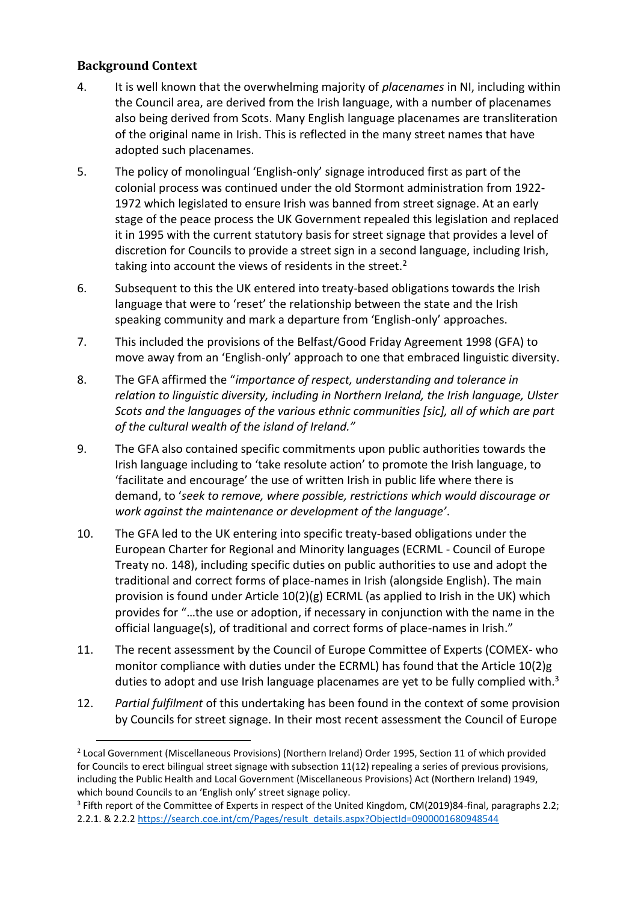# **Background Context**

- 4. It is well known that the overwhelming majority of *placenames* in NI, including within the Council area, are derived from the Irish language, with a number of placenames also being derived from Scots. Many English language placenames are transliteration of the original name in Irish. This is reflected in the many street names that have adopted such placenames.
- 5. The policy of monolingual 'English-only' signage introduced first as part of the colonial process was continued under the old Stormont administration from 1922- 1972 which legislated to ensure Irish was banned from street signage. At an early stage of the peace process the UK Government repealed this legislation and replaced it in 1995 with the current statutory basis for street signage that provides a level of discretion for Councils to provide a street sign in a second language, including Irish, taking into account the views of residents in the street. $2$
- 6. Subsequent to this the UK entered into treaty-based obligations towards the Irish language that were to 'reset' the relationship between the state and the Irish speaking community and mark a departure from 'English-only' approaches.
- 7. This included the provisions of the Belfast/Good Friday Agreement 1998 (GFA) to move away from an 'English-only' approach to one that embraced linguistic diversity.
- 8. The GFA affirmed the "*importance of respect, understanding and tolerance in relation to linguistic diversity, including in Northern Ireland, the Irish language, Ulster Scots and the languages of the various ethnic communities [sic], all of which are part of the cultural wealth of the island of Ireland."*
- 9. The GFA also contained specific commitments upon public authorities towards the Irish language including to 'take resolute action' to promote the Irish language, to 'facilitate and encourage' the use of written Irish in public life where there is demand, to '*seek to remove, where possible, restrictions which would discourage or work against the maintenance or development of the language'*.
- 10. The GFA led to the UK entering into specific treaty-based obligations under the European Charter for Regional and Minority languages (ECRML - Council of Europe Treaty no. 148), including specific duties on public authorities to use and adopt the traditional and correct forms of place-names in Irish (alongside English). The main provision is found under Article 10(2)(g) ECRML (as applied to Irish in the UK) which provides for "…the use or adoption, if necessary in conjunction with the name in the official language(s), of traditional and correct forms of place-names in Irish."
- 11. The recent assessment by the Council of Europe Committee of Experts (COMEX- who monitor compliance with duties under the ECRML) has found that the Article 10(2)g duties to adopt and use Irish language placenames are yet to be fully complied with.<sup>3</sup>
- 12. *Partial fulfilment* of this undertaking has been found in the context of some provision by Councils for street signage. In their most recent assessment the Council of Europe

<sup>3</sup> Fifth report of the Committee of Experts in respect of the United Kingdom, CM(2019)84-final, paragraphs 2.2; 2.2.1. & 2.2.[2 https://search.coe.int/cm/Pages/result\\_details.aspx?ObjectId=0900001680948544](https://search.coe.int/cm/Pages/result_details.aspx?ObjectId=0900001680948544)

<sup>&</sup>lt;sup>2</sup> Local Government (Miscellaneous Provisions) (Northern Ireland) Order 1995, Section 11 of which provided for Councils to erect bilingual street signage with subsection 11(12) repealing a series of previous provisions, including the Public Health and Local Government (Miscellaneous Provisions) Act (Northern Ireland) 1949, which bound Councils to an 'English only' street signage policy.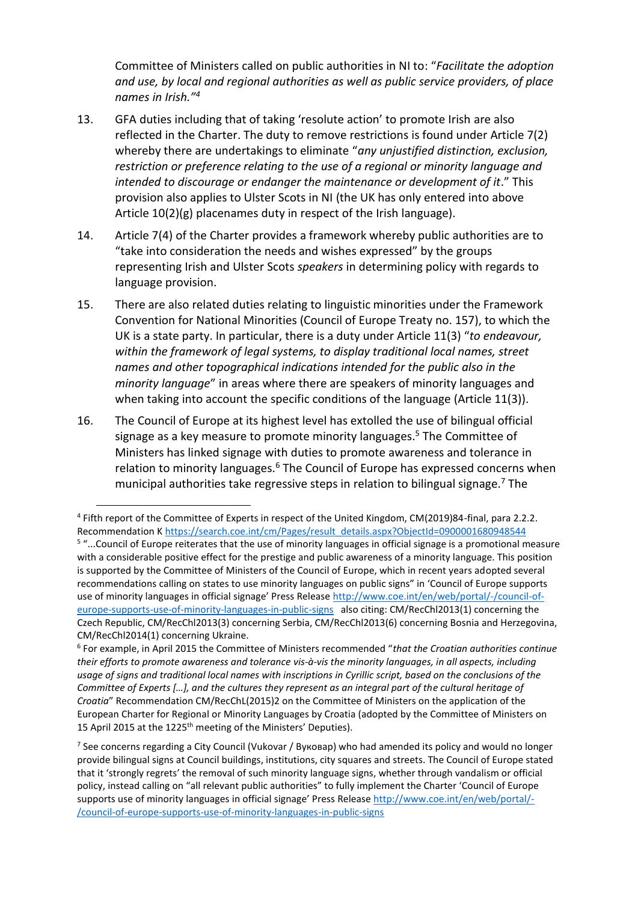Committee of Ministers called on public authorities in NI to: "*Facilitate the adoption and use, by local and regional authorities as well as public service providers, of place names in Irish."<sup>4</sup>*

- 13. GFA duties including that of taking 'resolute action' to promote Irish are also reflected in the Charter. The duty to remove restrictions is found under Article 7(2) whereby there are undertakings to eliminate "*any unjustified distinction, exclusion, restriction or preference relating to the use of a regional or minority language and intended to discourage or endanger the maintenance or development of it*." This provision also applies to Ulster Scots in NI (the UK has only entered into above Article 10(2)(g) placenames duty in respect of the Irish language).
- 14. Article 7(4) of the Charter provides a framework whereby public authorities are to "take into consideration the needs and wishes expressed" by the groups representing Irish and Ulster Scots *speakers* in determining policy with regards to language provision.
- 15. There are also related duties relating to linguistic minorities under the Framework Convention for National Minorities (Council of Europe Treaty no. 157), to which the UK is a state party. In particular, there is a duty under Article 11(3) "*to endeavour, within the framework of legal systems, to display traditional local names, street names and other topographical indications intended for the public also in the minority language*" in areas where there are speakers of minority languages and when taking into account the specific conditions of the language (Article 11(3)).
- 16. The Council of Europe at its highest level has extolled the use of bilingual official signage as a key measure to promote minority languages.<sup>5</sup> The Committee of Ministers has linked signage with duties to promote awareness and tolerance in relation to minority languages.<sup>6</sup> The Council of Europe has expressed concerns when municipal authorities take regressive steps in relation to bilingual signage.<sup>7</sup> The

<sup>&</sup>lt;sup>4</sup> Fifth report of the Committee of Experts in respect of the United Kingdom, CM(2019)84-final, para 2.2.2. Recommendation K [https://search.coe.int/cm/Pages/result\\_details.aspx?ObjectId=0900001680948544](https://search.coe.int/cm/Pages/result_details.aspx?ObjectId=0900001680948544) <sup>5</sup> "...Council of Europe reiterates that the use of minority languages in official signage is a promotional measure with a considerable positive effect for the prestige and public awareness of a minority language. This position is supported by the Committee of Ministers of the Council of Europe, which in recent years adopted several recommendations calling on states to use minority languages on public signs" in 'Council of Europe supports use of minority languages in official signage' Press Release [http://www.coe.int/en/web/portal/-/council-of](http://www.coe.int/en/web/portal/-/council-of-europe-supports-use-of-minority-languages-in-public-signs)[europe-supports-use-of-minority-languages-in-public-signs](http://www.coe.int/en/web/portal/-/council-of-europe-supports-use-of-minority-languages-in-public-signs) also citing: CM/RecChl2013(1) concerning the Czech Republic, CM/RecChl2013(3) concerning Serbia, CM/RecChl2013(6) concerning Bosnia and Herzegovina,

CM/RecChl2014(1) concerning Ukraine. 6 For example, in April 2015 the Committee of Ministers recommended "*that the Croatian authorities continue their efforts to promote awareness and tolerance vis-à-vis the minority languages, in all aspects, including usage of signs and traditional local names with inscriptions in Cyrillic script, based on the conclusions of the Committee of Experts […], and the cultures they represent as an integral part of the cultural heritage of Croatia*" Recommendation CM/RecChL(2015)2 on the Committee of Ministers on the application of the European Charter for Regional or Minority Languages by Croatia (adopted by the Committee of Ministers on 15 April 2015 at the 1225<sup>th</sup> meeting of the Ministers' Deputies).

<sup>7</sup> See concerns regarding a City Council (Vukovar / Вуковар) who had amended its policy and would no longer provide bilingual signs at Council buildings, institutions, city squares and streets. The Council of Europe stated that it 'strongly regrets' the removal of such minority language signs, whether through vandalism or official policy, instead calling on "all relevant public authorities" to fully implement the Charter 'Council of Europe supports use of minority languages in official signage' Press Release [http://www.coe.int/en/web/portal/-](http://www.coe.int/en/web/portal/-/council-of-europe-supports-use-of-minority-languages-in-public-signs) [/council-of-europe-supports-use-of-minority-languages-in-public-signs](http://www.coe.int/en/web/portal/-/council-of-europe-supports-use-of-minority-languages-in-public-signs)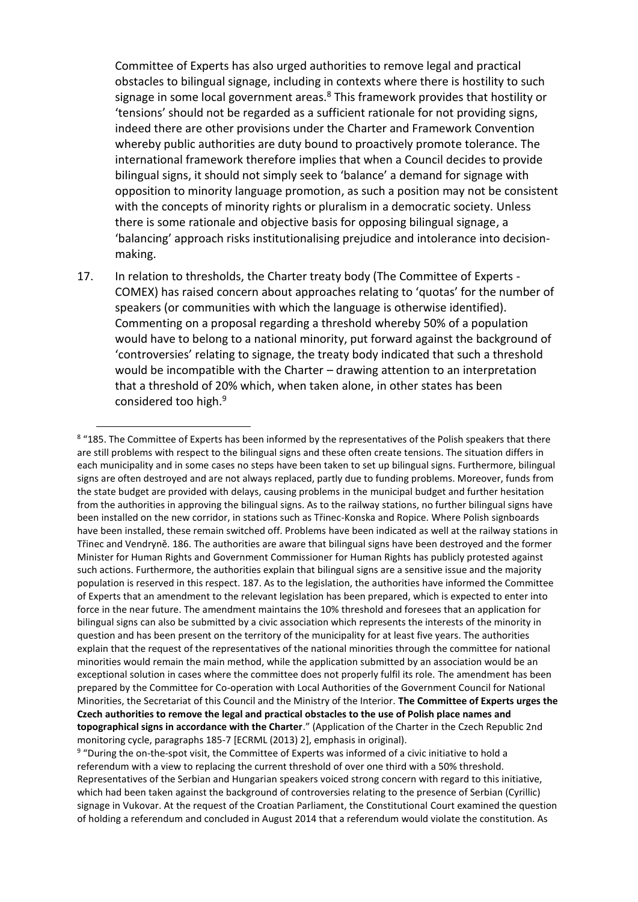Committee of Experts has also urged authorities to remove legal and practical obstacles to bilingual signage, including in contexts where there is hostility to such signage in some local government areas.<sup>8</sup> This framework provides that hostility or 'tensions' should not be regarded as a sufficient rationale for not providing signs, indeed there are other provisions under the Charter and Framework Convention whereby public authorities are duty bound to proactively promote tolerance. The international framework therefore implies that when a Council decides to provide bilingual signs, it should not simply seek to 'balance' a demand for signage with opposition to minority language promotion, as such a position may not be consistent with the concepts of minority rights or pluralism in a democratic society. Unless there is some rationale and objective basis for opposing bilingual signage, a 'balancing' approach risks institutionalising prejudice and intolerance into decisionmaking.

17. In relation to thresholds, the Charter treaty body (The Committee of Experts - COMEX) has raised concern about approaches relating to 'quotas' for the number of speakers (or communities with which the language is otherwise identified). Commenting on a proposal regarding a threshold whereby 50% of a population would have to belong to a national minority, put forward against the background of 'controversies' relating to signage, the treaty body indicated that such a threshold would be incompatible with the Charter – drawing attention to an interpretation that a threshold of 20% which, when taken alone, in other states has been considered too high.<sup>9</sup>

<sup>&</sup>lt;sup>8</sup> "185. The Committee of Experts has been informed by the representatives of the Polish speakers that there are still problems with respect to the bilingual signs and these often create tensions. The situation differs in each municipality and in some cases no steps have been taken to set up bilingual signs. Furthermore, bilingual signs are often destroyed and are not always replaced, partly due to funding problems. Moreover, funds from the state budget are provided with delays, causing problems in the municipal budget and further hesitation from the authorities in approving the bilingual signs. As to the railway stations, no further bilingual signs have been installed on the new corridor, in stations such as Třinec-Konska and Ropice. Where Polish signboards have been installed, these remain switched off. Problems have been indicated as well at the railway stations in Třinec and Vendryně. 186. The authorities are aware that bilingual signs have been destroyed and the former Minister for Human Rights and Government Commissioner for Human Rights has publicly protested against such actions. Furthermore, the authorities explain that bilingual signs are a sensitive issue and the majority population is reserved in this respect. 187. As to the legislation, the authorities have informed the Committee of Experts that an amendment to the relevant legislation has been prepared, which is expected to enter into force in the near future. The amendment maintains the 10% threshold and foresees that an application for bilingual signs can also be submitted by a civic association which represents the interests of the minority in question and has been present on the territory of the municipality for at least five years. The authorities explain that the request of the representatives of the national minorities through the committee for national minorities would remain the main method, while the application submitted by an association would be an exceptional solution in cases where the committee does not properly fulfil its role. The amendment has been prepared by the Committee for Co-operation with Local Authorities of the Government Council for National Minorities, the Secretariat of this Council and the Ministry of the Interior. **The Committee of Experts urges the Czech authorities to remove the legal and practical obstacles to the use of Polish place names and topographical signs in accordance with the Charter**." (Application of the Charter in the Czech Republic 2nd monitoring cycle, paragraphs 185-7 [ECRML (2013) 2], emphasis in original).

<sup>&</sup>lt;sup>9</sup> "During the on-the-spot visit, the Committee of Experts was informed of a civic initiative to hold a referendum with a view to replacing the current threshold of over one third with a 50% threshold. Representatives of the Serbian and Hungarian speakers voiced strong concern with regard to this initiative, which had been taken against the background of controversies relating to the presence of Serbian (Cyrillic) signage in Vukovar. At the request of the Croatian Parliament, the Constitutional Court examined the question of holding a referendum and concluded in August 2014 that a referendum would violate the constitution. As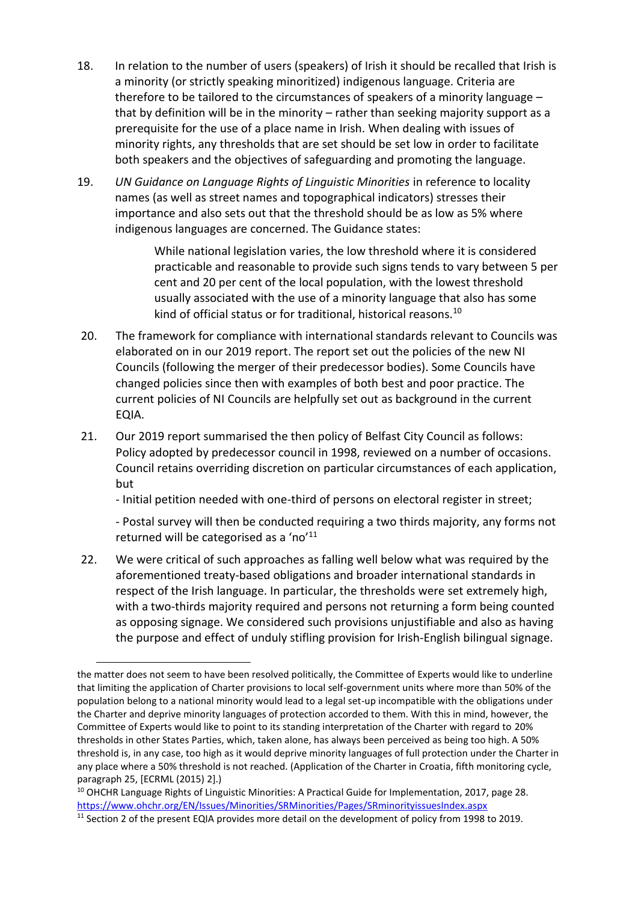- 18. In relation to the number of users (speakers) of Irish it should be recalled that Irish is a minority (or strictly speaking minoritized) indigenous language. Criteria are therefore to be tailored to the circumstances of speakers of a minority language – that by definition will be in the minority – rather than seeking majority support as a prerequisite for the use of a place name in Irish. When dealing with issues of minority rights, any thresholds that are set should be set low in order to facilitate both speakers and the objectives of safeguarding and promoting the language.
- 19. *UN Guidance on Language Rights of Linguistic Minorities* in reference to locality names (as well as street names and topographical indicators) stresses their importance and also sets out that the threshold should be as low as 5% where indigenous languages are concerned. The Guidance states:

While national legislation varies, the low threshold where it is considered practicable and reasonable to provide such signs tends to vary between 5 per cent and 20 per cent of the local population, with the lowest threshold usually associated with the use of a minority language that also has some kind of official status or for traditional, historical reasons.<sup>10</sup>

- 20. The framework for compliance with international standards relevant to Councils was elaborated on in our 2019 report. The report set out the policies of the new NI Councils (following the merger of their predecessor bodies). Some Councils have changed policies since then with examples of both best and poor practice. The current policies of NI Councils are helpfully set out as background in the current EQIA.
- 21. Our 2019 report summarised the then policy of Belfast City Council as follows: Policy adopted by predecessor council in 1998, reviewed on a number of occasions. Council retains overriding discretion on particular circumstances of each application, but

- Initial petition needed with one-third of persons on electoral register in street;

- Postal survey will then be conducted requiring a two thirds majority, any forms not returned will be categorised as a 'no'<sup>11</sup>

22. We were critical of such approaches as falling well below what was required by the aforementioned treaty-based obligations and broader international standards in respect of the Irish language. In particular, the thresholds were set extremely high, with a two-thirds majority required and persons not returning a form being counted as opposing signage. We considered such provisions unjustifiable and also as having the purpose and effect of unduly stifling provision for Irish-English bilingual signage.

the matter does not seem to have been resolved politically, the Committee of Experts would like to underline that limiting the application of Charter provisions to local self-government units where more than 50% of the population belong to a national minority would lead to a legal set-up incompatible with the obligations under the Charter and deprive minority languages of protection accorded to them. With this in mind, however, the Committee of Experts would like to point to its standing interpretation of the Charter with regard to 20% thresholds in other States Parties, which, taken alone, has always been perceived as being too high. A 50% threshold is, in any case, too high as it would deprive minority languages of full protection under the Charter in any place where a 50% threshold is not reached. (Application of the Charter in Croatia, fifth monitoring cycle, paragraph 25, [ECRML (2015) 2].)

<sup>&</sup>lt;sup>10</sup> OHCHR Language Rights of Linguistic Minorities: A Practical Guide for Implementation, 2017, page 28. <https://www.ohchr.org/EN/Issues/Minorities/SRMinorities/Pages/SRminorityissuesIndex.aspx>

<sup>&</sup>lt;sup>11</sup> Section 2 of the present EQIA provides more detail on the development of policy from 1998 to 2019.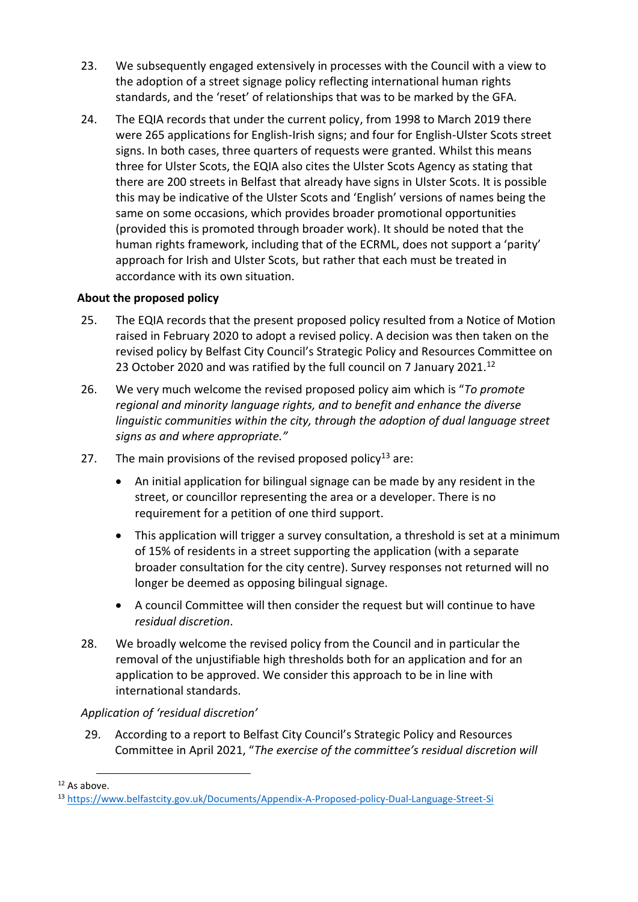- 23. We subsequently engaged extensively in processes with the Council with a view to the adoption of a street signage policy reflecting international human rights standards, and the 'reset' of relationships that was to be marked by the GFA.
- 24. The EQIA records that under the current policy, from 1998 to March 2019 there were 265 applications for English-Irish signs; and four for English-Ulster Scots street signs. In both cases, three quarters of requests were granted. Whilst this means three for Ulster Scots, the EQIA also cites the Ulster Scots Agency as stating that there are 200 streets in Belfast that already have signs in Ulster Scots. It is possible this may be indicative of the Ulster Scots and 'English' versions of names being the same on some occasions, which provides broader promotional opportunities (provided this is promoted through broader work). It should be noted that the human rights framework, including that of the ECRML, does not support a 'parity' approach for Irish and Ulster Scots, but rather that each must be treated in accordance with its own situation.

# **About the proposed policy**

- 25. The EQIA records that the present proposed policy resulted from a Notice of Motion raised in February 2020 to adopt a revised policy. A decision was then taken on the revised policy by Belfast City Council's Strategic Policy and Resources Committee on 23 October 2020 and was ratified by the full council on 7 January 2021.<sup>12</sup>
- 26. We very much welcome the revised proposed policy aim which is "*To promote regional and minority language rights, and to benefit and enhance the diverse linguistic communities within the city, through the adoption of dual language street signs as and where appropriate."*
- 27. The main provisions of the revised proposed policy<sup>13</sup> are:
	- An initial application for bilingual signage can be made by any resident in the street, or councillor representing the area or a developer. There is no requirement for a petition of one third support.
	- This application will trigger a survey consultation, a threshold is set at a minimum of 15% of residents in a street supporting the application (with a separate broader consultation for the city centre). Survey responses not returned will no longer be deemed as opposing bilingual signage.
	- A council Committee will then consider the request but will continue to have *residual discretion*.
- 28. We broadly welcome the revised policy from the Council and in particular the removal of the unjustifiable high thresholds both for an application and for an application to be approved. We consider this approach to be in line with international standards.

#### *Application of 'residual discretion'*

29. According to a report to Belfast City Council's Strategic Policy and Resources Committee in April 2021, "*The exercise of the committee's residual discretion will* 

 $12$  As above

<sup>13</sup> <https://www.belfastcity.gov.uk/Documents/Appendix-A-Proposed-policy-Dual-Language-Street-Si>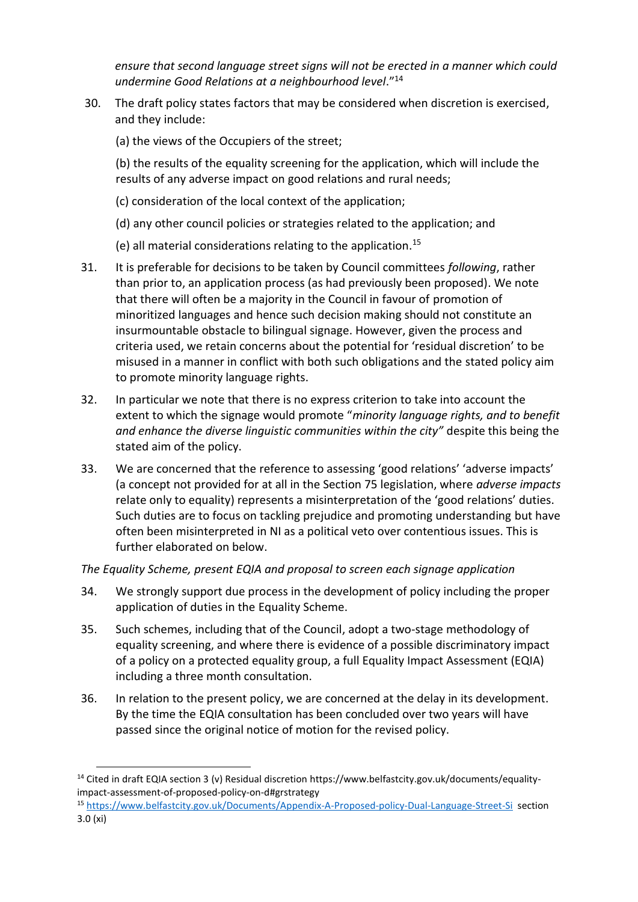*ensure that second language street signs will not be erected in a manner which could undermine Good Relations at a neighbourhood level*."<sup>14</sup>

- 30. The draft policy states factors that may be considered when discretion is exercised, and they include:
	- (a) the views of the Occupiers of the street;

(b) the results of the equality screening for the application, which will include the results of any adverse impact on good relations and rural needs;

- (c) consideration of the local context of the application;
- (d) any other council policies or strategies related to the application; and
- (e) all material considerations relating to the application.<sup>15</sup>
- 31. It is preferable for decisions to be taken by Council committees *following*, rather than prior to, an application process (as had previously been proposed). We note that there will often be a majority in the Council in favour of promotion of minoritized languages and hence such decision making should not constitute an insurmountable obstacle to bilingual signage. However, given the process and criteria used, we retain concerns about the potential for 'residual discretion' to be misused in a manner in conflict with both such obligations and the stated policy aim to promote minority language rights.
- 32. In particular we note that there is no express criterion to take into account the extent to which the signage would promote "*minority language rights, and to benefit and enhance the diverse linguistic communities within the city"* despite this being the stated aim of the policy.
- 33. We are concerned that the reference to assessing 'good relations' 'adverse impacts' (a concept not provided for at all in the Section 75 legislation, where *adverse impacts* relate only to equality) represents a misinterpretation of the 'good relations' duties. Such duties are to focus on tackling prejudice and promoting understanding but have often been misinterpreted in NI as a political veto over contentious issues. This is further elaborated on below.

#### *The Equality Scheme, present EQIA and proposal to screen each signage application*

- 34. We strongly support due process in the development of policy including the proper application of duties in the Equality Scheme.
- 35. Such schemes, including that of the Council, adopt a two-stage methodology of equality screening, and where there is evidence of a possible discriminatory impact of a policy on a protected equality group, a full Equality Impact Assessment (EQIA) including a three month consultation.
- 36. In relation to the present policy, we are concerned at the delay in its development. By the time the EQIA consultation has been concluded over two years will have passed since the original notice of motion for the revised policy.

<sup>15</sup> <https://www.belfastcity.gov.uk/Documents/Appendix-A-Proposed-policy-Dual-Language-Street-Si>section 3.0 (xi)

<sup>14</sup> Cited in draft EQIA section 3 (v) Residual discretion https://www.belfastcity.gov.uk/documents/equalityimpact-assessment-of-proposed-policy-on-d#grstrategy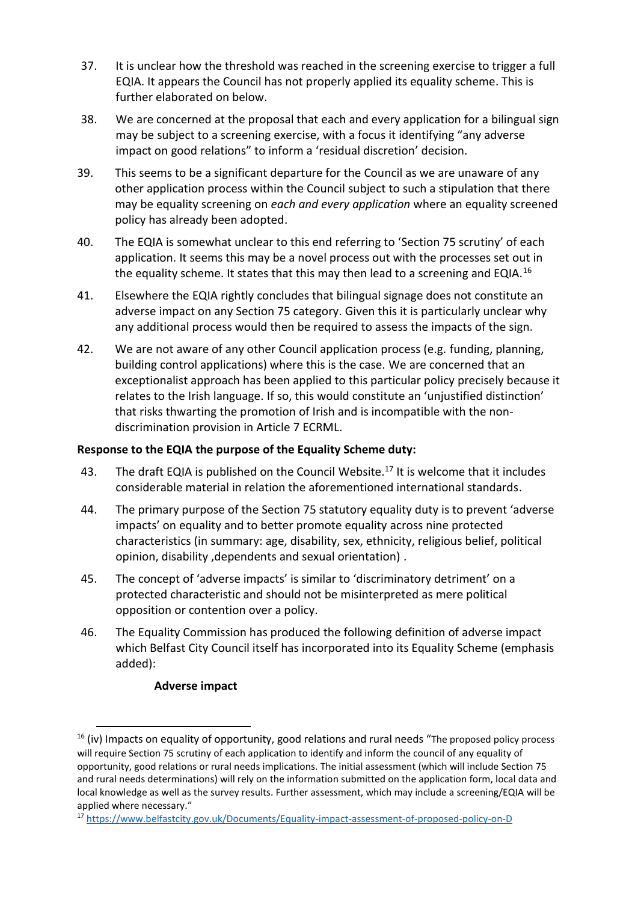- 37. It is unclear how the threshold was reached in the screening exercise to trigger a full EQIA. It appears the Council has not properly applied its equality scheme. This is further elaborated on below.
- 38. We are concerned at the proposal that each and every application for a bilingual sign may be subject to a screening exercise, with a focus it identifying "any adverse impact on good relations" to inform a 'residual discretion' decision.
- 39. This seems to be a significant departure for the Council as we are unaware of any other application process within the Council subject to such a stipulation that there may be equality screening on *each and every application* where an equality screened policy has already been adopted.
- 40. The EQIA is somewhat unclear to this end referring to 'Section 75 scrutiny' of each application. It seems this may be a novel process out with the processes set out in the equality scheme. It states that this may then lead to a screening and EQIA.<sup>16</sup>
- 41. Elsewhere the EQIA rightly concludes that bilingual signage does not constitute an adverse impact on any Section 75 category. Given this it is particularly unclear why any additional process would then be required to assess the impacts of the sign.
- 42. We are not aware of any other Council application process (e.g. funding, planning, building control applications) where this is the case. We are concerned that an exceptionalist approach has been applied to this particular policy precisely because it relates to the Irish language. If so, this would constitute an 'unjustified distinction' that risks thwarting the promotion of Irish and is incompatible with the nondiscrimination provision in Article 7 ECRML.

#### **Response to the EQIA the purpose of the Equality Scheme duty:**

- 43. The draft EQIA is published on the Council Website.<sup>17</sup> It is welcome that it includes considerable material in relation the aforementioned international standards.
- 44. The primary purpose of the Section 75 statutory equality duty is to prevent 'adverse impacts' on equality and to better promote equality across nine protected characteristics (in summary: age, disability, sex, ethnicity, religious belief, political opinion, disability ,dependents and sexual orientation) .
- 45. The concept of 'adverse impacts' is similar to 'discriminatory detriment' on a protected characteristic and should not be misinterpreted as mere political opposition or contention over a policy.
- 46. The Equality Commission has produced the following definition of adverse impact which Belfast City Council itself has incorporated into its Equality Scheme (emphasis added):

#### **Adverse impact**

 $16$  (iv) Impacts on equality of opportunity, good relations and rural needs "The proposed policy process will require Section 75 scrutiny of each application to identify and inform the council of any equality of opportunity, good relations or rural needs implications. The initial assessment (which will include Section 75 and rural needs determinations) will rely on the information submitted on the application form, local data and local knowledge as well as the survey results. Further assessment, which may include a screening/EQIA will be applied where necessary."

<sup>17</sup> <https://www.belfastcity.gov.uk/Documents/Equality-impact-assessment-of-proposed-policy-on-D>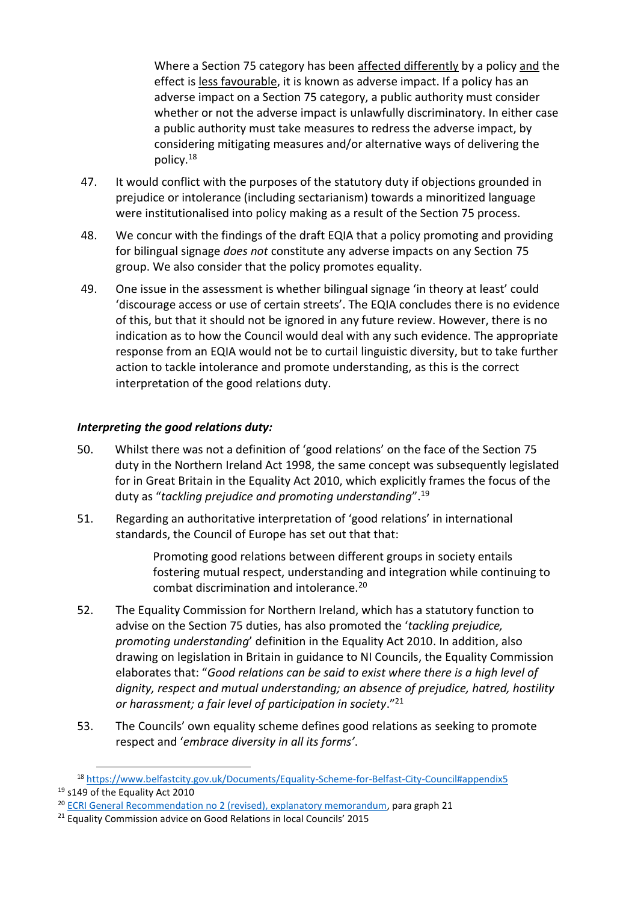Where a Section 75 category has been affected differently by a policy and the effect is less favourable, it is known as adverse impact. If a policy has an adverse impact on a Section 75 category, a public authority must consider whether or not the adverse impact is unlawfully discriminatory. In either case a public authority must take measures to redress the adverse impact, by considering mitigating measures and/or alternative ways of delivering the policy.<sup>18</sup>

- 47. It would conflict with the purposes of the statutory duty if objections grounded in prejudice or intolerance (including sectarianism) towards a minoritized language were institutionalised into policy making as a result of the Section 75 process.
- 48. We concur with the findings of the draft EQIA that a policy promoting and providing for bilingual signage *does not* constitute any adverse impacts on any Section 75 group. We also consider that the policy promotes equality.
- 49. One issue in the assessment is whether bilingual signage 'in theory at least' could 'discourage access or use of certain streets'. The EQIA concludes there is no evidence of this, but that it should not be ignored in any future review. However, there is no indication as to how the Council would deal with any such evidence. The appropriate response from an EQIA would not be to curtail linguistic diversity, but to take further action to tackle intolerance and promote understanding, as this is the correct interpretation of the good relations duty.

#### *Interpreting the good relations duty:*

- 50. Whilst there was not a definition of 'good relations' on the face of the Section 75 duty in the Northern Ireland Act 1998, the same concept was subsequently legislated for in Great Britain in the Equality Act 2010, which explicitly frames the focus of the duty as "*tackling prejudice and promoting understanding*". 19
- 51. Regarding an authoritative interpretation of 'good relations' in international standards, the Council of Europe has set out that that:

Promoting good relations between different groups in society entails fostering mutual respect, understanding and integration while continuing to combat discrimination and intolerance.<sup>20</sup>

- 52. The Equality Commission for Northern Ireland, which has a statutory function to advise on the Section 75 duties, has also promoted the '*tackling prejudice, promoting understanding*' definition in the Equality Act 2010. In addition, also drawing on legislation in Britain in guidance to NI Councils, the Equality Commission elaborates that: "*Good relations can be said to exist where there is a high level of dignity, respect and mutual understanding; an absence of prejudice, hatred, hostility or harassment; a fair level of participation in society*."<sup>21</sup>
- 53. The Councils' own equality scheme defines good relations as seeking to promote respect and '*embrace diversity in all its forms'*.

<sup>18</sup> <https://www.belfastcity.gov.uk/Documents/Equality-Scheme-for-Belfast-City-Council#appendix5> <sup>19</sup> s149 of the Equality Act 2010

<sup>20</sup> [ECRI General Recommendation no 2 \(revised\), explanatory memorandum,](https://hudoc.ecri.coe.int/eng#{%22ECRIIdentifier%22:[%22REC-02rev-2018-006-ENG%22]}) para graph 21

<sup>&</sup>lt;sup>21</sup> Equality Commission advice on Good Relations in local Councils' 2015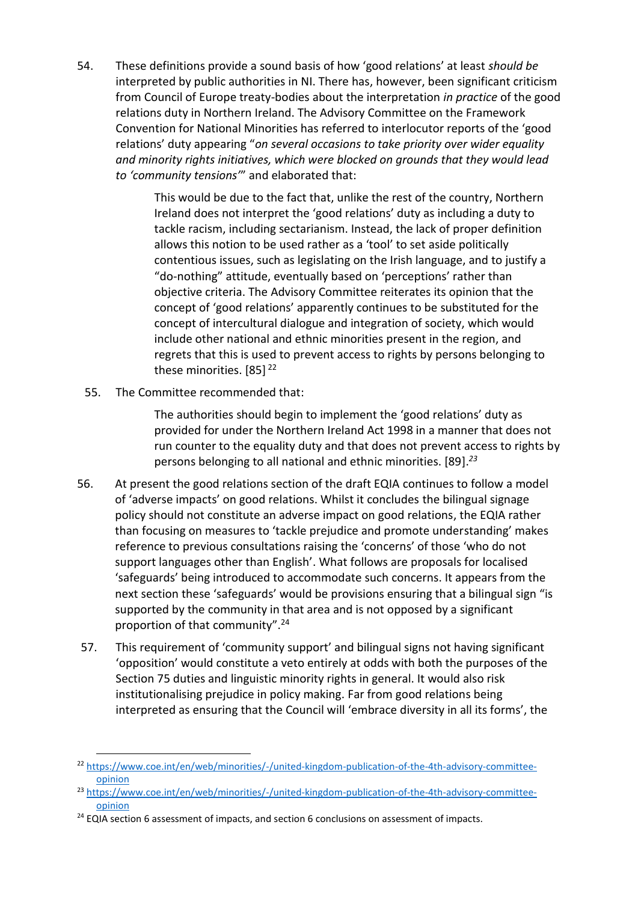54. These definitions provide a sound basis of how 'good relations' at least *should be* interpreted by public authorities in NI. There has, however, been significant criticism from Council of Europe treaty-bodies about the interpretation *in practice* of the good relations duty in Northern Ireland. The Advisory Committee on the Framework Convention for National Minorities has referred to interlocutor reports of the 'good relations' duty appearing "*on several occasions to take priority over wider equality and minority rights initiatives, which were blocked on grounds that they would lead to 'community tensions'*" and elaborated that:

> This would be due to the fact that, unlike the rest of the country, Northern Ireland does not interpret the 'good relations' duty as including a duty to tackle racism, including sectarianism. Instead, the lack of proper definition allows this notion to be used rather as a 'tool' to set aside politically contentious issues, such as legislating on the Irish language, and to justify a "do-nothing" attitude, eventually based on 'perceptions' rather than objective criteria. The Advisory Committee reiterates its opinion that the concept of 'good relations' apparently continues to be substituted for the concept of intercultural dialogue and integration of society, which would include other national and ethnic minorities present in the region, and regrets that this is used to prevent access to rights by persons belonging to these minorities. [85]<sup>22</sup>

55. The Committee recommended that:

The authorities should begin to implement the 'good relations' duty as provided for under the Northern Ireland Act 1998 in a manner that does not run counter to the equality duty and that does not prevent access to rights by persons belonging to all national and ethnic minorities. [89].*<sup>23</sup>*

- 56. At present the good relations section of the draft EQIA continues to follow a model of 'adverse impacts' on good relations. Whilst it concludes the bilingual signage policy should not constitute an adverse impact on good relations, the EQIA rather than focusing on measures to 'tackle prejudice and promote understanding' makes reference to previous consultations raising the 'concerns' of those 'who do not support languages other than English'. What follows are proposals for localised 'safeguards' being introduced to accommodate such concerns. It appears from the next section these 'safeguards' would be provisions ensuring that a bilingual sign "is supported by the community in that area and is not opposed by a significant proportion of that community".<sup>24</sup>
- 57. This requirement of 'community support' and bilingual signs not having significant 'opposition' would constitute a veto entirely at odds with both the purposes of the Section 75 duties and linguistic minority rights in general. It would also risk institutionalising prejudice in policy making. Far from good relations being interpreted as ensuring that the Council will 'embrace diversity in all its forms', the

<sup>22</sup> [https://www.coe.int/en/web/minorities/-/united-kingdom-publication-of-the-4th-advisory-committee](https://www.coe.int/en/web/minorities/-/united-kingdom-publication-of-the-4th-advisory-committee-opinion)[opinion](https://www.coe.int/en/web/minorities/-/united-kingdom-publication-of-the-4th-advisory-committee-opinion)

<sup>&</sup>lt;sup>23</sup> [https://www.coe.int/en/web/minorities/-/united-kingdom-publication-of-the-4th-advisory-committee](https://www.coe.int/en/web/minorities/-/united-kingdom-publication-of-the-4th-advisory-committee-opinion)[opinion](https://www.coe.int/en/web/minorities/-/united-kingdom-publication-of-the-4th-advisory-committee-opinion)

<sup>&</sup>lt;sup>24</sup> EQIA section 6 assessment of impacts, and section 6 conclusions on assessment of impacts.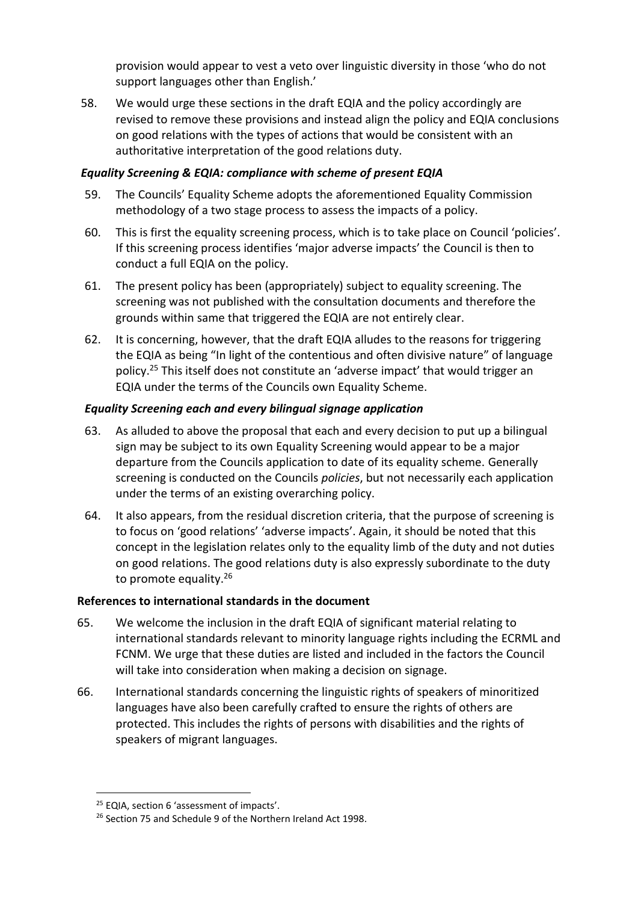provision would appear to vest a veto over linguistic diversity in those 'who do not support languages other than English.'

58. We would urge these sections in the draft EQIA and the policy accordingly are revised to remove these provisions and instead align the policy and EQIA conclusions on good relations with the types of actions that would be consistent with an authoritative interpretation of the good relations duty.

#### *Equality Screening & EQIA: compliance with scheme of present EQIA*

- 59. The Councils' Equality Scheme adopts the aforementioned Equality Commission methodology of a two stage process to assess the impacts of a policy.
- 60. This is first the equality screening process, which is to take place on Council 'policies'. If this screening process identifies 'major adverse impacts' the Council is then to conduct a full EQIA on the policy.
- 61. The present policy has been (appropriately) subject to equality screening. The screening was not published with the consultation documents and therefore the grounds within same that triggered the EQIA are not entirely clear.
- 62. It is concerning, however, that the draft EQIA alludes to the reasons for triggering the EQIA as being "In light of the contentious and often divisive nature" of language policy.<sup>25</sup> This itself does not constitute an 'adverse impact' that would trigger an EQIA under the terms of the Councils own Equality Scheme.

#### *Equality Screening each and every bilingual signage application*

- 63. As alluded to above the proposal that each and every decision to put up a bilingual sign may be subject to its own Equality Screening would appear to be a major departure from the Councils application to date of its equality scheme. Generally screening is conducted on the Councils *policies*, but not necessarily each application under the terms of an existing overarching policy.
- 64. It also appears, from the residual discretion criteria, that the purpose of screening is to focus on 'good relations' 'adverse impacts'. Again, it should be noted that this concept in the legislation relates only to the equality limb of the duty and not duties on good relations. The good relations duty is also expressly subordinate to the duty to promote equality.<sup>26</sup>

#### **References to international standards in the document**

- 65. We welcome the inclusion in the draft EQIA of significant material relating to international standards relevant to minority language rights including the ECRML and FCNM. We urge that these duties are listed and included in the factors the Council will take into consideration when making a decision on signage.
- 66. International standards concerning the linguistic rights of speakers of minoritized languages have also been carefully crafted to ensure the rights of others are protected. This includes the rights of persons with disabilities and the rights of speakers of migrant languages.

<sup>&</sup>lt;sup>25</sup> EQIA, section 6 'assessment of impacts'.

<sup>&</sup>lt;sup>26</sup> Section 75 and Schedule 9 of the Northern Ireland Act 1998.